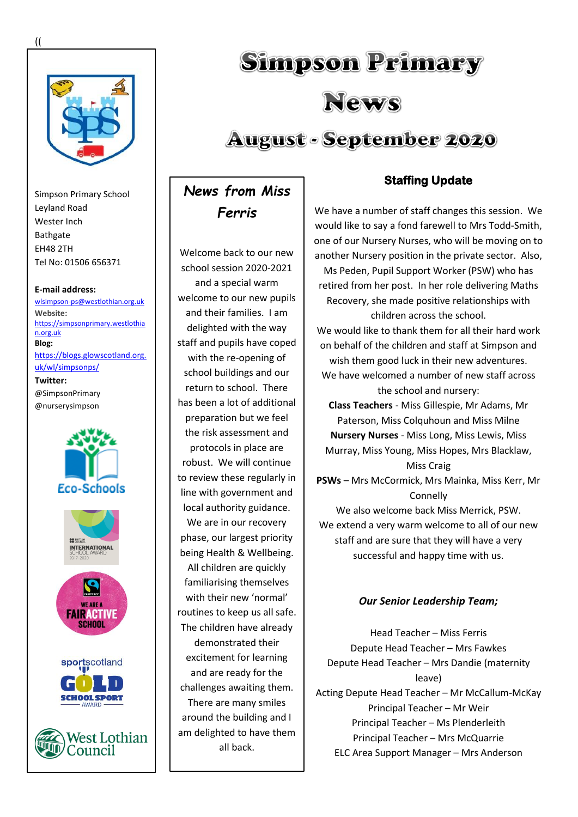

Simpson Primary School Leyland Road Wester Inch Bathgate EH48 2TH Tel No: 01506 656371

**E-mail address:** [wlsimpson-ps@westlothian.org.uk](mailto:wlsimpson-ps@westlothian.org.uk)

**Website:** [https://simpsonprimary.westlothia](https://simpsonprimary.westlothian.org.uk/) [n.org.uk](https://simpsonprimary.westlothian.org.uk/) **Blog:** [https://blogs.glowscotland.org.](https://blogs.glowscotland.org.uk/wl/simpsonps/) [uk/wl/simpsonps/](https://blogs.glowscotland.org.uk/wl/simpsonps/) **Twitter:**

@SimpsonPrimary @nurserysimpson



# **Simpson Primary** News **August - September 2020**

*News from Miss Ferris*

Welcome back to our new school session 2020-2021 and a special warm welcome to our new pupils and their families. I am delighted with the way staff and pupils have coped with the re-opening of school buildings and our return to school. There has been a lot of additional preparation but we feel the risk assessment and protocols in place are robust. We will continue to review these regularly in line with government and local authority guidance. We are in our recovery phase, our largest priority being Health & Wellbeing. All children are quickly familiarising themselves with their new 'normal' routines to keep us all safe. The children have already demonstrated their excitement for learning and are ready for the challenges awaiting them. There are many smiles around the building and I am delighted to have them all back.

# **Staffing Update**

We have a number of staff changes this session. We would like to say a fond farewell to Mrs Todd-Smith, one of our Nursery Nurses, who will be moving on to another Nursery position in the private sector. Also,

Ms Peden, Pupil Support Worker (PSW) who has retired from her post. In her role delivering Maths Recovery, she made positive relationships with children across the school.

We would like to thank them for all their hard work on behalf of the children and staff at Simpson and wish them good luck in their new adventures.

We have welcomed a number of new staff across the school and nursery:

**Class Teachers** - Miss Gillespie, Mr Adams, Mr Paterson, Miss Colquhoun and Miss Milne **Nursery Nurses** - Miss Long, Miss Lewis, Miss Murray, Miss Young, Miss Hopes, Mrs Blacklaw, Miss Craig

**PSWs** – Mrs McCormick, Mrs Mainka, Miss Kerr, Mr Connelly

We also welcome back Miss Merrick, PSW. We extend a very warm welcome to all of our new staff and are sure that they will have a very successful and happy time with us.

# *Our Senior Leadership Team;*

Head Teacher – Miss Ferris Depute Head Teacher – Mrs Fawkes Depute Head Teacher – Mrs Dandie (maternity leave) Acting Depute Head Teacher – Mr McCallum-McKay Principal Teacher – Mr Weir Principal Teacher – Ms Plenderleith Principal Teacher – Mrs McQuarrie ELC Area Support Manager – Mrs Anderson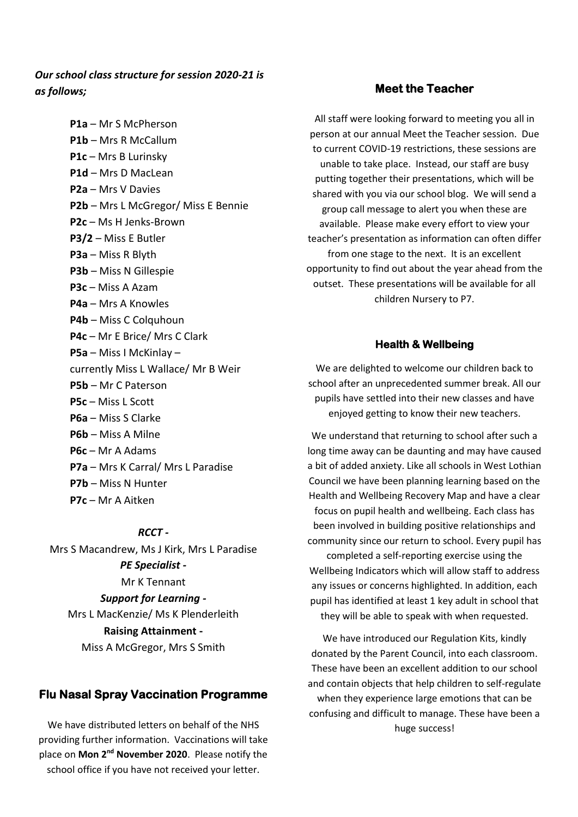# *Our school class structure for session 2020-21 is as follows;*

**P1a** – Mr S McPherson **P1b** – Mrs R McCallum **P1c** – Mrs B Lurinsky **P1d** – Mrs D MacLean **P2a** – Mrs V Davies **P2b** – Mrs L McGregor/ Miss E Bennie **P2c** – Ms H Jenks-Brown **P3/2** – Miss E Butler **P3a** – Miss R Blyth **P3b** – Miss N Gillespie **P3c** – Miss A Azam **P4a** – Mrs A Knowles **P4b** – Miss C Colquhoun **P4c** – Mr E Brice/ Mrs C Clark **P5a** – Miss I McKinlay – currently Miss L Wallace/ Mr B Weir **P5b** – Mr C Paterson **P5c** – Miss L Scott **P6a** – Miss S Clarke **P6b** – Miss A Milne **P6c** – Mr A Adams **P7a** – Mrs K Carral/ Mrs L Paradise **P7b** – Miss N Hunter **P7c** – Mr A Aitken

#### *RCCT -*

Mrs S Macandrew, Ms J Kirk, Mrs L Paradise *PE Specialist -* Mr K Tennant *Support for Learning -* Mrs L MacKenzie/ Ms K Plenderleith **Raising Attainment -** Miss A McGregor, Mrs S Smith

## **Flu Nasal Spray Vaccination Programme**

We have distributed letters on behalf of the NHS providing further information. Vaccinations will take place on **Mon 2nd November 2020**. Please notify the school office if you have not received your letter.

## **Meet the Teacher**

All staff were looking forward to meeting you all in person at our annual Meet the Teacher session. Due to current COVID-19 restrictions, these sessions are unable to take place. Instead, our staff are busy putting together their presentations, which will be shared with you via our school blog. We will send a group call message to alert you when these are available. Please make every effort to view your teacher's presentation as information can often differ from one stage to the next. It is an excellent opportunity to find out about the year ahead from the outset. These presentations will be available for all children Nursery to P7.

## **Health & Wellbeing**

We are delighted to welcome our children back to school after an unprecedented summer break. All our pupils have settled into their new classes and have enjoyed getting to know their new teachers.

We understand that returning to school after such a long time away can be daunting and may have caused a bit of added anxiety. Like all schools in West Lothian Council we have been planning learning based on the Health and Wellbeing Recovery Map and have a clear focus on pupil health and wellbeing. Each class has been involved in building positive relationships and community since our return to school. Every pupil has completed a self-reporting exercise using the Wellbeing Indicators which will allow staff to address any issues or concerns highlighted. In addition, each pupil has identified at least 1 key adult in school that they will be able to speak with when requested.

We have introduced our Regulation Kits, kindly donated by the Parent Council, into each classroom. These have been an excellent addition to our school and contain objects that help children to self-regulate when they experience large emotions that can be confusing and difficult to manage. These have been a huge success!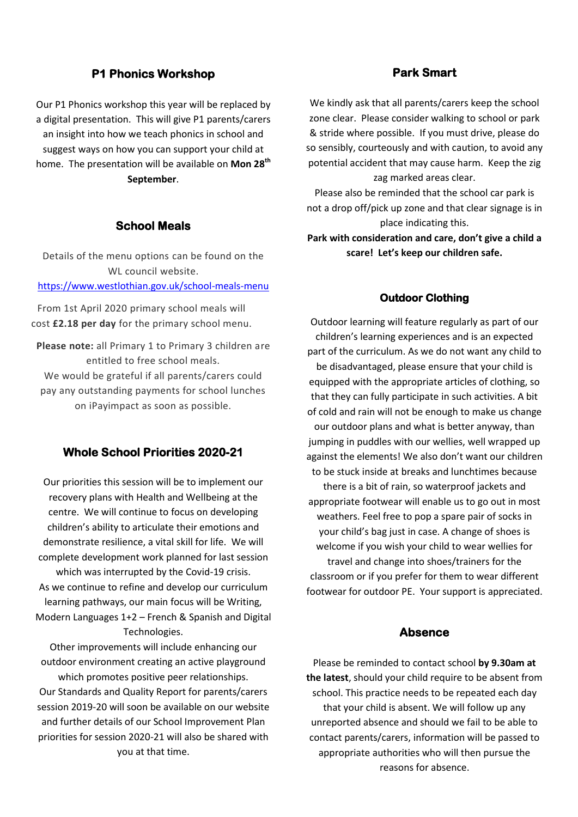## **P1 Phonics Workshop**

Our P1 Phonics workshop this year will be replaced by a digital presentation. This will give P1 parents/carers an insight into how we teach phonics in school and suggest ways on how you can support your child at home. The presentation will be available on **Mon 28th September**.

## **School Meals**

Details of the menu options can be found on the WL council website. <https://www.westlothian.gov.uk/school-meals-menu>

From 1st April 2020 primary school meals will cost **£2.18 per day** for the primary school menu.

**Please note:** all Primary 1 to Primary 3 children are entitled to free school meals. We would be grateful if all parents/carers could pay any outstanding payments for school lunches on iPayimpact as soon as possible.

# **Whole School Priorities 2020-21**

Our priorities this session will be to implement our recovery plans with Health and Wellbeing at the centre. We will continue to focus on developing children's ability to articulate their emotions and demonstrate resilience, a vital skill for life. We will complete development work planned for last session which was interrupted by the Covid-19 crisis. As we continue to refine and develop our curriculum learning pathways, our main focus will be Writing, Modern Languages 1+2 – French & Spanish and Digital Technologies.

Other improvements will include enhancing our outdoor environment creating an active playground which promotes positive peer relationships. Our Standards and Quality Report for parents/carers session 2019-20 will soon be available on our website and further details of our School Improvement Plan priorities for session 2020-21 will also be shared with you at that time.

## **Park Smart**

We kindly ask that all parents/carers keep the school zone clear. Please consider walking to school or park & stride where possible. If you must drive, please do so sensibly, courteously and with caution, to avoid any potential accident that may cause harm. Keep the zig zag marked areas clear.

Please also be reminded that the school car park is not a drop off/pick up zone and that clear signage is in place indicating this.

**Park with consideration and care, don't give a child a scare! Let's keep our children safe.**

#### **Outdoor Clothing**

Outdoor learning will feature regularly as part of our children's learning experiences and is an expected part of the curriculum. As we do not want any child to be disadvantaged, please ensure that your child is equipped with the appropriate articles of clothing, so that they can fully participate in such activities. A bit of cold and rain will not be enough to make us change our outdoor plans and what is better anyway, than jumping in puddles with our wellies, well wrapped up against the elements! We also don't want our children to be stuck inside at breaks and lunchtimes because there is a bit of rain, so waterproof jackets and appropriate footwear will enable us to go out in most weathers. Feel free to pop a spare pair of socks in your child's bag just in case. A change of shoes is welcome if you wish your child to wear wellies for travel and change into shoes/trainers for the classroom or if you prefer for them to wear different footwear for outdoor PE. Your support is appreciated.

## **Absence**

Please be reminded to contact school **by 9.30am at the latest**, should your child require to be absent from school. This practice needs to be repeated each day that your child is absent. We will follow up any unreported absence and should we fail to be able to contact parents/carers, information will be passed to appropriate authorities who will then pursue the reasons for absence.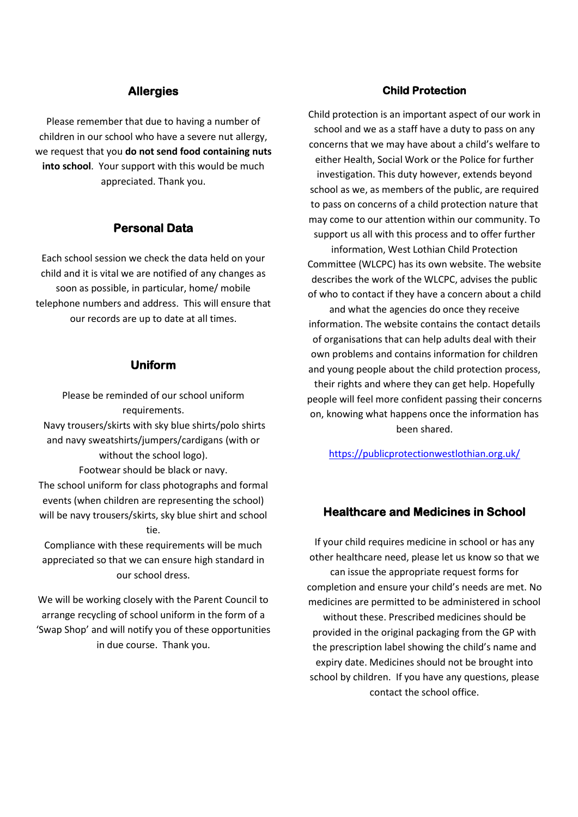## **Allergies**

Please remember that due to having a number of children in our school who have a severe nut allergy, we request that you **do not send food containing nuts into school**. Your support with this would be much appreciated. Thank you.

## **Personal Data**

Each school session we check the data held on your child and it is vital we are notified of any changes as soon as possible, in particular, home/ mobile telephone numbers and address. This will ensure that our records are up to date at all times.

#### **Uniform**

Please be reminded of our school uniform requirements. Navy trousers/skirts with sky blue shirts/polo shirts and navy sweatshirts/jumpers/cardigans (with or without the school logo). Footwear should be black or navy. The school uniform for class photographs and formal events (when children are representing the school) will be navy trousers/skirts, sky blue shirt and school tie. Compliance with these requirements will be much

appreciated so that we can ensure high standard in our school dress.

We will be working closely with the Parent Council to arrange recycling of school uniform in the form of a 'Swap Shop' and will notify you of these opportunities in due course. Thank you.

## **Child Protection**

Child protection is an important aspect of our work in school and we as a staff have a duty to pass on any concerns that we may have about a child's welfare to either Health, Social Work or the Police for further investigation. This duty however, extends beyond school as we, as members of the public, are required to pass on concerns of a child protection nature that may come to our attention within our community. To support us all with this process and to offer further

information, West Lothian Child Protection Committee (WLCPC) has its own website. The website describes the work of the WLCPC, advises the public of who to contact if they have a concern about a child

and what the agencies do once they receive information. The website contains the contact details of organisations that can help adults deal with their own problems and contains information for children and young people about the child protection process, their rights and where they can get help. Hopefully people will feel more confident passing their concerns on, knowing what happens once the information has been shared.

<https://publicprotectionwestlothian.org.uk/>

## **Healthcare and Medicines in School**

If your child requires medicine in school or has any other healthcare need, please let us know so that we can issue the appropriate request forms for completion and ensure your child's needs are met. No medicines are permitted to be administered in school without these. Prescribed medicines should be provided in the original packaging from the GP with the prescription label showing the child's name and expiry date. Medicines should not be brought into school by children. If you have any questions, please contact the school office.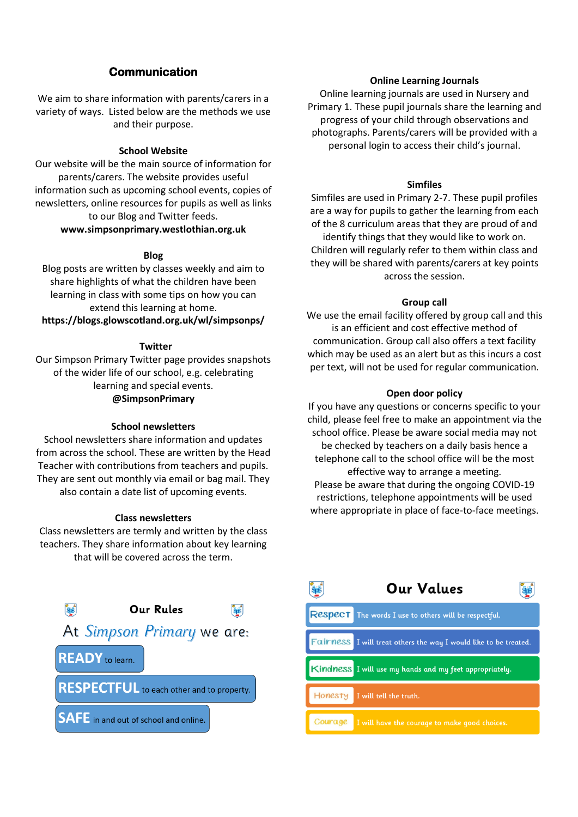# **Communication**

We aim to share information with parents/carers in a variety of ways. Listed below are the methods we use and their purpose.

#### **School Website**

Our website will be the main source of information for parents/carers. The website provides useful information such as upcoming school events, copies of newsletters, online resources for pupils as well as links to our Blog and Twitter feeds.

#### **www.simpsonprimary.westlothian.org.uk**

#### **Blog**

Blog posts are written by classes weekly and aim to share highlights of what the children have been learning in class with some tips on how you can extend this learning at home. **https://blogs.glowscotland.org.uk/wl/simpsonps/**

#### **Twitter**

Our Simpson Primary Twitter page provides snapshots of the wider life of our school, e.g. celebrating learning and special events. **@SimpsonPrimary**

#### **School newsletters**

School newsletters share information and updates from across the school. These are written by the Head Teacher with contributions from teachers and pupils. They are sent out monthly via email or bag mail. They also contain a date list of upcoming events.

#### **Class newsletters**

Class newsletters are termly and written by the class teachers. They share information about key learning that will be covered across the term.



#### **Online Learning Journals**

Online learning journals are used in Nursery and Primary 1. These pupil journals share the learning and progress of your child through observations and photographs. Parents/carers will be provided with a personal login to access their child's journal.

#### **Simfiles**

Simfiles are used in Primary 2-7. These pupil profiles are a way for pupils to gather the learning from each of the 8 curriculum areas that they are proud of and identify things that they would like to work on. Children will regularly refer to them within class and they will be shared with parents/carers at key points across the session.

#### **Group call**

We use the email facility offered by group call and this is an efficient and cost effective method of communication. Group call also offers a text facility which may be used as an alert but as this incurs a cost per text, will not be used for regular communication.

#### **Open door policy**

If you have any questions or concerns specific to your child, please feel free to make an appointment via the school office. Please be aware social media may not be checked by teachers on a daily basis hence a telephone call to the school office will be the most effective way to arrange a meeting. Please be aware that during the ongoing COVID-19 restrictions, telephone appointments will be used where appropriate in place of face-to-face meetings.

|         | Our Values                                                       |
|---------|------------------------------------------------------------------|
|         | Respect The words I use to others will be respectful.            |
|         | Fairness I will treat others the way I would like to be treated. |
|         | Kindness I will use my hands and my feet appropriately.          |
| Honesty | I will tell the truth.                                           |
| Courage | I will have the courage to make good choices.                    |